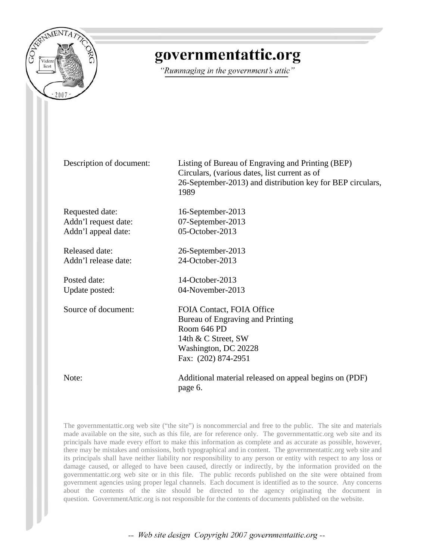

# governmentattic.org

"Rummaging in the government's attic"

Description of document: Listing of Bureau of Engraving and Printing (BEP) Circulars, (various dates, list current as of 26-September-2013) and distribution key for BEP circulars, 1989

Requested date: 16-September-2013 Addn'l request date: 07-September-2013 Addn'l appeal date: 05-October-2013

Released date: 26-September-2013 Addn'l release date: 24-October-2013

Posted date: 14-October-2013 Update posted: 04-November-2013

Source of document: FOIA Contact, FOIA Office Bureau of Engraving and Printing Room 646 PD 14th & C Street, SW Washington, DC 20228 Fax: (202) 874-2951

Note: Additional material released on appeal begins on (PDF) page 6.

The governmentattic.org web site ("the site") is noncommercial and free to the public. The site and materials made available on the site, such as this file, are for reference only. The governmentattic.org web site and its principals have made every effort to make this information as complete and as accurate as possible, however, there may be mistakes and omissions, both typographical and in content. The governmentattic.org web site and its principals shall have neither liability nor responsibility to any person or entity with respect to any loss or damage caused, or alleged to have been caused, directly or indirectly, by the information provided on the governmentattic.org web site or in this file. The public records published on the site were obtained from government agencies using proper legal channels. Each document is identified as to the source. Any concerns about the contents of the site should be directed to the agency originating the document in question. GovernmentAttic.org is not responsible for the contents of documents published on the website.

-- Web site design Copyright 2007 governmentattic.org --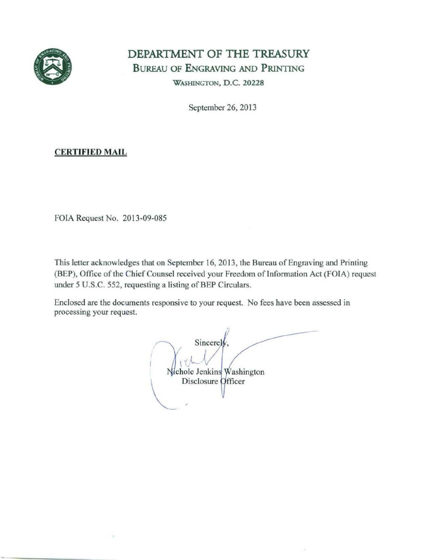

# **DEPARTMENT OF THE** TREASURY BUREAU OF ENGRAVING AND PRINTING WASHINGTON, D.C. 20228

September 26, 2013

### CERTIFIED MAIL

FOIA Request No. 2013-09-085

This letter acknowledges that on September 16, 2013, the Bureau of Engraving and Printing (BEP), Office of the Chief Counsel received your Freedom of Information Act (FOIA) request under 5 U.S.C. 552, requesting a listing of BEP Circulars.

Enclosed are the documents responsive to your request. No fees have been assessed in processing your request.

Sincerely,<br>
Nichole Jenkins<br>
Disclosure Of  $\sqrt{1}$  $\bigcup_{\text{Vehicle Jenkins}}$ Disclosure Officer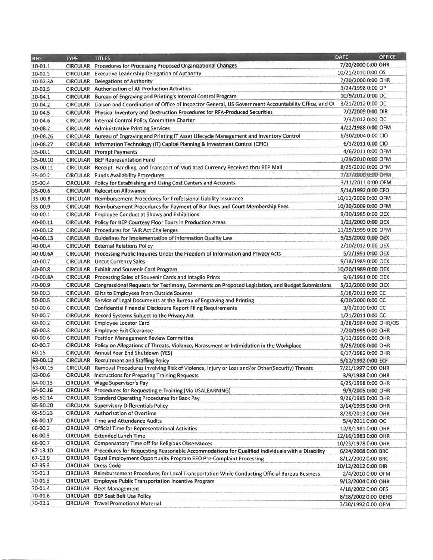| <b>REG</b>          | <b>TYPE</b>     | <b>TITLES</b>                                                                                                 | <b>OFFICE</b><br><b>DATE</b> |
|---------------------|-----------------|---------------------------------------------------------------------------------------------------------------|------------------------------|
| 10-01.1             |                 | CIRCULAR Procedures for Processing Proposed Organizational Changes                                            | 7/20/2000 0:00 OHR           |
| $10 - 02.3$         |                 | CIRCULAR Executive Leadership Delegation of Authority                                                         | 10/21/2010 0:00 OS           |
| 10-02.3A            |                 | <b>CIRCULAR</b> Delegations of Authority                                                                      | 7/20/2000 0:00 OHR           |
| 10-02.5             |                 | CIRCULAR Authorization of All Production Activities                                                           | 3/24/1998 0:00 OP            |
| 10-04.1             |                 | CIRCULAR Bureau of Engraving and Printing's Internal Control Program                                          | 10/9/2012 0:00 OC            |
| 10-04.2             |                 | CIRCULAR Liaison and Coordination of Office of Inspector General, US Government Accountability Office, and Ot | 3/21/2012 0:00 OC            |
| 10-04.5             | <b>CIRCULAR</b> | Physical Inventory and Destruction Procedures for RFA-Produced Securities                                     | 7/2/2009 0:00 DIR            |
| 10-04.6             |                 | CIRCULAR Internal Control Policy Committee Charter                                                            | 7/3/2012 0:00 OC             |
| 10-08.2             |                 | <b>CIRCULAR</b> Administrative Printing Services                                                              | 4/22/1988 0:00 OFM           |
| 10-08.26            |                 | CIRCULAR Bureau of Engraving and Printing IT Asset Lifecycle Management and Inventory Control                 | 6/30/2004 0:00 CIO           |
| 10-08.27            |                 | CIRCULAR Information Technology (IT) Capital Planning & Investment Control (CPIC)                             | 6/1/2011 0:00 CIO            |
| 35-00.1             |                 | <b>CIRCULAR</b> Prompt Payments                                                                               | 4/6/2011 0:00 OFM            |
|                     |                 |                                                                                                               | 1/29/2010 0:00 OFM           |
| 35-00.10            |                 | <b>CIRCULAR BEP Representation Fund</b>                                                                       | 8/25/2010 0:00 OFM           |
| 35-00.11            |                 | CIRCULAR Receipt, Handling, and Transport of Mutilated Currency Received thru BEP Mail                        |                              |
| 35-00.2             |                 | <b>CIRCULAR</b> Funds Availability Procedures                                                                 | 7/27/2000 0:00 OFM           |
| 35-00.4             |                 | CIRCULAR Policy for Establishing and Using Cost Centers and Accounts                                          | 3/11/2011 0:00 OFM           |
| 35-00.6             |                 | <b>CIRCULAR Relocation Allowance</b>                                                                          | 5/14/1992 0:00 CFO           |
| 35-00.8             |                 | CIRCULAR Reimbursement Procedures for Professional Liability Insurance                                        | 10/12/2009 0:00 OFM          |
| 35-00.9             |                 | CIRCULAR Reimbursement Procedures for Payment of Bar Dues and Court Membership Fees                           | 10/20/2009 0:00 OFM          |
| 40-00.1             |                 | CIRCULAR Employee Conduct at Shows and Exhibitions                                                            | 9/30/1985 0:00 OEX           |
| 40-00.11            |                 | CIRCULAR Policy for BEP Courtesy Floor Tours in Production Areas                                              | 1/21/2003 0:00 OEX           |
| 40-00.12            |                 | <b>CIRCULAR</b> Procedures for FAIR Act Challenges                                                            | 11/29/1999 0:00 OFM          |
| 40-00.13            |                 | CIRCULAR Guidelines for Implementation of Information Quality Law                                             | 9/23/2002 0:00 OEX           |
| 40-00.4             |                 | <b>CIRCULAR</b> External Relations Policy                                                                     | 2/10/2012 0:00 OEX           |
| 40-00.6A            |                 | CIRCULAR Processing Public Inquiries Under the Freedom of Information and Privacy Acts                        | 5/2/1991 0:00 OEX            |
| 40-00.7             |                 | <b>CIRCULAR</b> Uncut Currency Sales                                                                          | 9/18/1989 0:00 OEX           |
| 40-00.8             |                 | CIRCULAR Exhibit and Souvenir Card Program                                                                    | 10/20/1989 0:00 OEX          |
| 40-00.8A            |                 | CIRCULAR Processing Sales of Souvenir Cards and Intaglio Prints                                               | 9/6/1991 0:00 OEX            |
| 40-00.9             |                 | CIRCULAR Congressional Requests for Testimony, Comments on Proposed Legislation, and Budget Submissions       | 5/22/2000 0:00 OEX           |
|                     |                 |                                                                                                               |                              |
| 50-00.3<br>50-00.5  |                 | CIRCULAR Gifts to Employees From Outside Sources                                                              | 5/18/2011 0:00 CC            |
|                     |                 | CIRCULAR Service of Legal Documents at the Bureau of Engraving and Printing                                   | 6/20/2000 0:00 CC            |
| 50-00.6<br>50-00.7  |                 | CIRCULAR Confidential Financial Disclosure Report Filing Requirements                                         | 3/9/2010 0:00 CC             |
|                     |                 | CIRCULAR Record Systems Subject to the Privacy Act                                                            | 1/21/2011 0:00 CC            |
| 60-00.2             |                 | CIRCULAR Employee Locator Card                                                                                | 3/28/1984 0:00 OHR/OS        |
| 60-00.3             |                 | <b>CIRCULAR Employee Exit Clearance</b>                                                                       | 7/20/1995 0:00 OHR           |
| 60-00.6             |                 | <b>CIRCULAR</b> Position Management Review Committee                                                          | 3/12/1996 0:00 OHR           |
| 60-00.7             |                 | CIRCULAR Policy on Allegations of Threats, Violence, Harassment or Intimidation in the Workplace              | 9/25/2008 0:00 OHR           |
| $60 - 15$           |                 | CIRCULAR Annual Year End Shutdown (YES)                                                                       | 6/17/1982 0:00 OHR           |
| 63-00.12            |                 | <b>CIRCULAR</b> Recruitment and Staffing Policy                                                               | 5/12/1992 0:00 ECF           |
| 63-00.15<br>63-00.6 |                 | CIRCULAR Removal Procedures Involving Risk of Violence, Injury or Loss and/or Other(Security) Threats         | 7/21/1997 0:00 OHR           |
|                     |                 | <b>CIRCULAR</b> Instructions for Preparing Training Requests                                                  | 3/9/1988 0:00 OHR            |
| 64-00.13            |                 | CIRCULAR Wage Supervisor's Pay                                                                                | 6/25/1998 0:00 OHR           |
| 64-00.16            |                 | CIRCULAR Procedures for Requesting e-Training (Via USALEARNING)                                               | 9/9/2005 0:00 OHR            |
| 65-50.14            |                 | CIRCULAR Standard Operating Procedures for Back Pay                                                           | 9/26/1985 0:00 OHR           |
| 65-50.20            |                 | <b>CIRCULAR</b> Supervisory Differentials Policy                                                              | 3/14/1995 0:00 OHR           |
| 65-50.23            |                 | <b>CIRCULAR</b> Authorization of Overtime                                                                     | 8/28/2013 0:00 OHR           |
| 66-00.17            |                 | <b>CIRCULAR</b> Time and Attendance Audits                                                                    | 5/4/2011 0:00 OC             |
| 66-00.2             |                 | <b>CIRCULAR</b> Official Time for Representational Activities                                                 | 12/8/1981 0:00 OHR           |
| 66-00.3             |                 | <b>CIRCULAR</b> Extended Lunch Time                                                                           | 12/16/1983 0:00 OHR          |
| 66-00.7             |                 | CIRCULAR Compensatory Time off for Religious Observances                                                      | 10/23/1978 0:00 OHR          |
| 67-13.10            |                 | CIRCULAR Procedures for Requesting Reasonable Accommodations for Qualified Individuals with a Disability      | 6/24/2008 0:00 BRC           |
| 67-13.9             |                 | CIRCULAR Equal Employment Opportunity Program EEO Pre-Complaint Processing                                    | 8/12/2002 0:00 BRC           |
| $67 - 35.3$         |                 | <b>CIRCULAR Dress Code</b>                                                                                    | 10/12/2012 0:00 DIR          |
| 70-01.1             |                 | CIRCULAR Reimbursement Procedures for Local Transportation While Conducting Official Bureau Business          | 2/4/2010 0:00 OFM            |
| 70-01.3             |                 | CIRCULAR Employee Public Transportation Incentive Program                                                     | 9/13/2004 0:00 OHR           |
| 70-01.4             |                 | <b>CIRCULAR</b> Fleet Management                                                                              | 4/18/2002 0:00 OFS           |
| 70-01.6             |                 | <b>CIRCULAR BEP Seat Belt Use Policy</b>                                                                      | 8/28/2002 0:00 OEHS          |
| 70-02.2             |                 | <b>CIRCULAR Travel Promotional Material</b>                                                                   | 3/30/1992 0:00 OFM           |
|                     |                 |                                                                                                               |                              |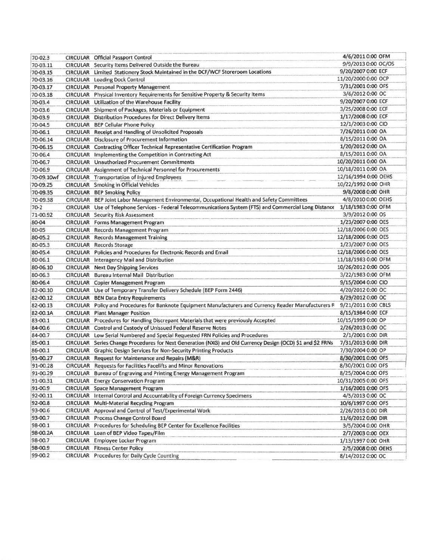| 70-02.3    | <b>CIRCULAR Official Passport Control</b>                                                                  | 4/6/2011 0:00 OFM                         |
|------------|------------------------------------------------------------------------------------------------------------|-------------------------------------------|
| 70-03.11   | CIRCULAR Security Items Delivered Outside the Bureau                                                       | 9/9/2013 0:00 OC/OS                       |
| 70-03.15   | CIRCULAR Limited Stationery Stock Maintained in the DCF/WCF Storeroom Locations                            | 9/20/2007 0:00 ECF                        |
| 70-03.16   | <b>CIRCULAR</b> Loading Dock Control                                                                       | 11/20/2000 0:00 OCP                       |
| 70-03.17   | <b>CIRCULAR</b> Personal Property Management                                                               | 7/31/2001 0:00 OFS                        |
| 70-03.18   | CIRCULAR Physical Inventory Requirements for Sensitive Property & Security Items                           | 3/6/2012 0:00 OC                          |
| 70-03.4    | CIRCULAR Utilization of the Warehouse Facility                                                             | 9/20/2007 0:00 ECF                        |
| 70-03.6    | CIRCULAR Shipment of Packages, Materials or Equipment                                                      | 3/25/2008 0:00 ECF                        |
| 70-03.9    | <b>CIRCULAR</b> Distribution Procedures for Direct Delivery Items                                          | 1/17/2008 0:00 ECF                        |
| 70-04.5    | CIRCULAR BEP Cellular Phone Policy                                                                         | 12/1/2003 0:00 CIO                        |
| 70-06.1    | CIRCULAR Receipt and Handling of Unsolicited Proposals                                                     | 7/26/2011 0:00 OA                         |
| 70-06.14   | <b>CIRCULAR</b> Disclosure of Procurement Information                                                      | 8/15/2011 0:00 OA                         |
| 70-06.15   | CIRCULAR Contracting Officer Technical Representative Certification Program                                | 1/20/2012 0:00 OA                         |
| 70-06.4    | CIRCULAR Implementing the Competition in Contracting Act                                                   | 8/15/2011 0:00 OA                         |
| 70-06.7    | <b>CIRCULAR</b> Unauthorized Procurement Commitments                                                       | 10/20/2011 0:00 OA                        |
| 70-06.9    | CIRCULAR Assignment of Technical Personnel for Procurements                                                | 10/18/2011 0:00 OA                        |
| 70-09.10wf | <b>CIRCULAR</b> Transportation of Injured Employees                                                        | 12/16/1994 0:00 OEHS                      |
| 70-09.25   | CIRCULAR Smoking in Official Vehicles                                                                      | 10/22/1992 0:00 OHR                       |
| 70-09.35   | <b>CIRCULAR BEP Smoking Policy</b>                                                                         | 9/8/2008 0:00 OHR                         |
| 70-09.38   | CIRCULAR BEP Joint Labor Management Environmental, Occupational Health and Safety Committees               | 4/8/2010 0:00 OEHS                        |
| $70 - 2$   | CIRCULAR Use of Telephone Services - Federal Telecommunications System (FTS) and Commercial Long Distance  | 1/18/1983 0:00 OFM                        |
| 71-00.92   |                                                                                                            | 3/9/2012 0:00 OS                          |
|            | <b>CIRCULAR</b> Security Risk Assessment<br><b>CIRCULAR</b> Forms Management Program                       | 1/23/2007 0:00 OES                        |
| 80-04      | CIRCULAR Records Management Program                                                                        | 12/18/2006 0:00 OES                       |
| 80-05      |                                                                                                            |                                           |
| 80-05.2    | <b>CIRCULAR</b> Records Management Training                                                                | 12/18/2006 0:00 OES<br>1/23/2007 0:00 OES |
| 80-05.3    | <b>CIRCULAR</b> Records Storage                                                                            |                                           |
| 80-05.4    | CIRCULAR Policies and Procedures for Electronic Records and Email                                          | 12/18/2006 0:00 OES                       |
| 80-06.1    | <b>CIRCULAR</b> Interagency Mail and Distribution                                                          | 11/18/1983 0:00 OFM                       |
| 80-06.10   | <b>CIRCULAR</b> Next Day Shipping Services                                                                 | 10/26/2012 0:00 OOS                       |
| 80-06.3    | CIRCULAR Bureau Internal Mail Distribution                                                                 | 3/22/1983 0:00 OFM                        |
| 80-06.4    | CIRCULAR Copier Management Program                                                                         | 9/15/2004 0:00 CIO                        |
| 82-00.10   | CIRCULAR Use of Temporary Transfer Delivery Schedule (BEP Form 2446)                                       | 4/20/2012 0:00 OC                         |
| 82-00.12   | <b>CIRCULAR BEN Data Entry Requirements</b>                                                                | 8/29/2012 0:00 OC                         |
| 82-00.13   | CIRCULAR Policy and Procedures for Banknote Equipment Manufacturers and Currency Reader Manufacturers R    | 9/21/2011 0:00 CBLS                       |
| 82-00.1A   | <b>CIRCULAR</b> Plant Manager Position                                                                     | 8/15/1984 0:00 ECF                        |
| 83-00.1    | CIRCULAR Procedures for Handling Discrepant Materials that were previously Accepted                        | 10/15/1999 0:00 OP                        |
| 84-00.6    | CIRCULAR Control and Custody of Unissued Federal Reserve Notes                                             | 2/26/2013 0:00 OC                         |
| 84-00.7    | CIRCULAR Low Serial Numbered and Special Requested FRN Policies and Procedures                             | 2/1/2001 0:00 DIR                         |
| 85-00.1    | CIRCULAR Series Change Procedures for Next Generation (NXG) and Old Currency Design (OCD) \$1 and \$2 FRNs | 7/31/2013 0:00 DIR                        |
| 86-00.1    | CIRCULAR Graphic Design Services for Non-Security Printing Products                                        | 7/30/2004 0:00 OP                         |
| 91-00.27   | CIRCULAR Request for Maintenance and Repairs (M&R)                                                         | 8/30/2001 0:00 OFS                        |
| 91-00.28   | CIRCULAR Requests for Facilities Facelifts and Minor Renovations                                           | 8/30/2001 0:00 OFS                        |
| 91-00.29   | CIRCULAR Bureau of Engraving and Printing Energy Management Program                                        | 8/25/2004 0:00 OFS                        |
| 91-00.31   | CIRCULAR Energy Conservation Program                                                                       | 10/31/2005 0:00 OFS                       |
| 91-00.9    | CIRCULAR Space Management Program                                                                          | 1/16/2001 0:00 OFS                        |
| 92-00.11   | CIRCULAR Internal Control and Accountability of Foreign Currency Specimens                                 | 4/5/2013 0:00 OC                          |
| 92-00.8    | CIRCULAR Multi-Material Recycling Program                                                                  | 10/6/1997 0:00 OFS                        |
| 93-00.6    | CIRCULAR Approval and Control of Test/Experimental Work                                                    | 2/26/2013 0:00 DIR                        |
| 93-00.7    | CIRCULAR Process Change Control Board                                                                      | 11/6/2012 0:00 DIR                        |
| 98-00.1    | CIRCULAR Procedures for Scheduling BEP Center for Excellence Facilities                                    | 3/5/2004 0:00 OHR                         |
| 98-00.2A   | CIRCULAR Loan of BEP Video Tapes/Film                                                                      | 2/7/2003 0:00 OEX                         |
| 98-00.7    | <b>CIRCULAR</b> Employee Locker Program                                                                    | 1/13/1997 0:00 OHR                        |
| 98-00.9    | <b>CIRCULAR</b> Fitness Center Policy                                                                      | 2/5/2008 0:00 OEHS                        |
| 99-00.2    | <b>CIRCULAR</b> Procedures for Daily Cycle Counting                                                        | 8/14/2012 0:00 OC                         |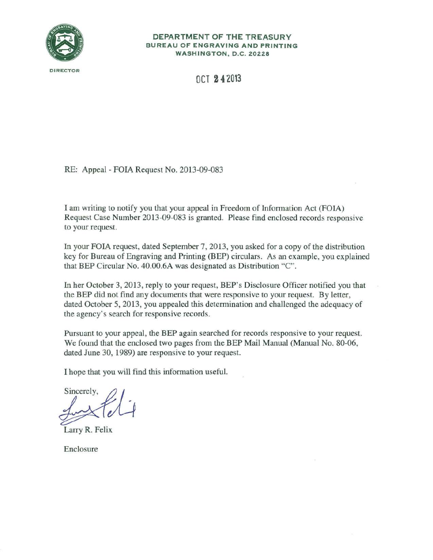

#### DEPARTMENT OF THE TREASURY BUREAU OF ENGRAVING AND PRINTING WASHINGTON, D.C. 20228

**DCT 242013** 

RE: Appeal - FOIA Request No. 2013-09-083

I am writing to notify you that your appeal in Freedom of Information Act (FOIA) Request Case Number 2013-09-083 is granted. Please find enclosed records responsive to your request.

In your FOIA request, dated September 7, 2013, you asked for a copy of the distribution key for Bureau of Engraving and Printing (BEP) circulars. As an example, you explained that BEP Circular No. 40.00.6A was designated as Distribution "C".

In her October 3, 2013, reply to your request, BEP's Disclosure Officer notified you that the BEP did not find any documents that were responsive to your request. By letter, dated October 5, 2013, you appealed this determination and challenged the adequacy of the agency's search for responsive records.

Pursuant to your appeal, the BEP again searched for records responsive to your request. We found that the enclosed two pages from the BEP Mail Manual (Manual No. 80-06, dated June 30, 1989) are responsive to your request.

I hope that you will find this information useful.

Sincerely,

Larry R. Felix

Enclosure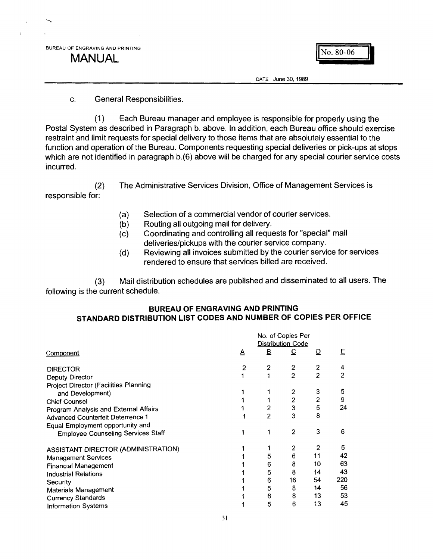**MANUAL MANUAL** *MANUAL* 

-.

DATE June 30, 1989

#### c. General Responsibilities.

(1) Each Bureau manager and employee is responsible for properly using the Postal System as described in Paragraph b. above. In addition, each Bureau office should exercise restraint and limit requests for special delivery to those items that are absolutely essential to the function and operation of the Bureau. Components requesting special deliveries or pick-ups at stops which are not identified in paragraph b.(6) above will be charged for any special courier service costs incurred.

(2) responsible for: The Administrative Services Division, Office of Management Services is

- (a) Selection of a commercial vendor of courier services.
- (b) Routing all outgoing mail for delivery.
- (c) Coordinating and controlling all requests for "special" mail deliveries/pickups with the courier service company.
- (d) Reviewing all invoices submitted by the courier service for services rendered to ensure that services billed are received.

(3) Mail distribution schedules are published and disseminated to all users. The following is the current schedule.

### **BUREAU OF ENGRAVING AND PRINTING STANDARD DISTRIBUTION LIST CODES AND NUMBER OF COPIES PER OFFICE**

|                                              | No. of Copies Per<br><b>Distribution Code</b> |                |                |                |     |
|----------------------------------------------|-----------------------------------------------|----------------|----------------|----------------|-----|
| Component                                    | A                                             | $\mathbf{B}$   | $\overline{C}$ | D              | E   |
| <b>DIRECTOR</b>                              | 2                                             | $\overline{2}$ | $\overline{c}$ | 2              | 4   |
| Deputy Director                              |                                               |                | $\overline{2}$ | $\overline{2}$ | 2   |
| <b>Project Director (Facilities Planning</b> |                                               |                |                |                |     |
| and Development)                             |                                               |                | 2              | 3              | 5   |
| <b>Chief Counsel</b>                         |                                               |                | $\overline{c}$ | 2              | 9   |
| Program Analysis and External Affairs        |                                               | 2              | 3              | 5              | 24  |
| <b>Advanced Counterfeit Deterrence 1</b>     |                                               | $\overline{2}$ | 3              | 8              |     |
| Equal Employment opportunity and             |                                               |                |                |                |     |
| <b>Employee Counseling Services Staff</b>    |                                               |                | $\overline{2}$ | 3              | 6   |
| ASSISTANT DIRECTOR (ADMINISTRATION)          |                                               |                | 2              | 2              | 5.  |
| <b>Management Services</b>                   |                                               | 5              | 6              | 11             | 42  |
| <b>Financial Management</b>                  |                                               | 6              | 8              | 10             | 63  |
| <b>Industrial Relations</b>                  |                                               | 5              | 8              | 14             | 43  |
| Security                                     |                                               | 6              | 16             | 54             | 220 |
| <b>Materials Management</b>                  |                                               | 5              | 8              | 14             | 56  |
| <b>Currency Standards</b>                    |                                               | 6              | 8              | 13.            | 53  |
| Information Systems                          |                                               | 5              | 6              | 13             | 45  |